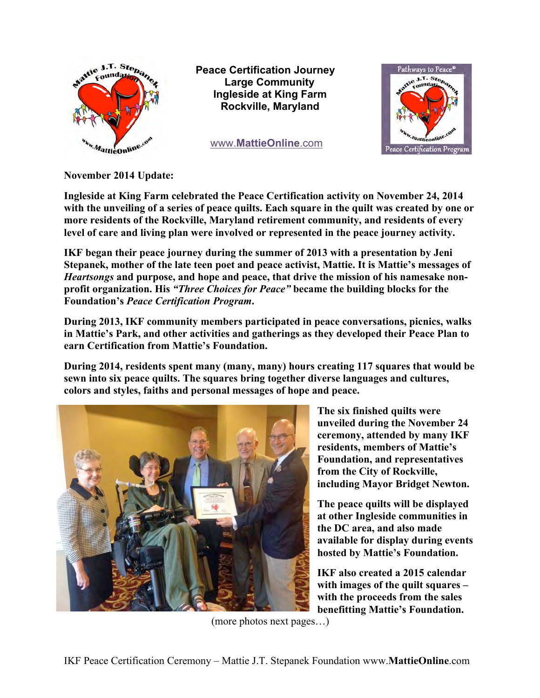

**Peace Certification Journey Large Community Ingleside at King Farm Rockville, Maryland**

*<u>WWW.MattieOnline.com</u>* 



**November 2014 Update:**

**Ingleside at King Farm celebrated the Peace Certification activity on November 24, 2014 with the unveiling of a series of peace quilts. Each square in the quilt was created by one or more residents of the Rockville, Maryland retirement community, and residents of every level of care and living plan were involved or represented in the peace journey activity.** 

**IKF began their peace journey during the summer of 2013 with a presentation by Jeni Stepanek, mother of the late teen poet and peace activist, Mattie. It is Mattie's messages of**  *Heartsongs* **and purpose, and hope and peace, that drive the mission of his namesake nonprofit organization. His** *"Three Choices for Peace"* **became the building blocks for the Foundation's** *Peace Certification Program***.** 

**During 2013, IKF community members participated in peace conversations, picnics, walks in Mattie's Park, and other activities and gatherings as they developed their Peace Plan to earn Certification from Mattie's Foundation.** 

**During 2014, residents spent many (many, many) hours creating 117 squares that would be sewn into six peace quilts. The squares bring together diverse languages and cultures, colors and styles, faiths and personal messages of hope and peace.** 



**The six finished quilts were unveiled during the November 24 ceremony, attended by many IKF residents, members of Mattie's Foundation, and representatives from the City of Rockville, including Mayor Bridget Newton.** 

**The peace quilts will be displayed at other Ingleside communities in the DC area, and also made available for display during events hosted by Mattie's Foundation.** 

**IKF also created a 2015 calendar with images of the quilt squares – with the proceeds from the sales benefitting Mattie's Foundation.** 

(more photos next pages…)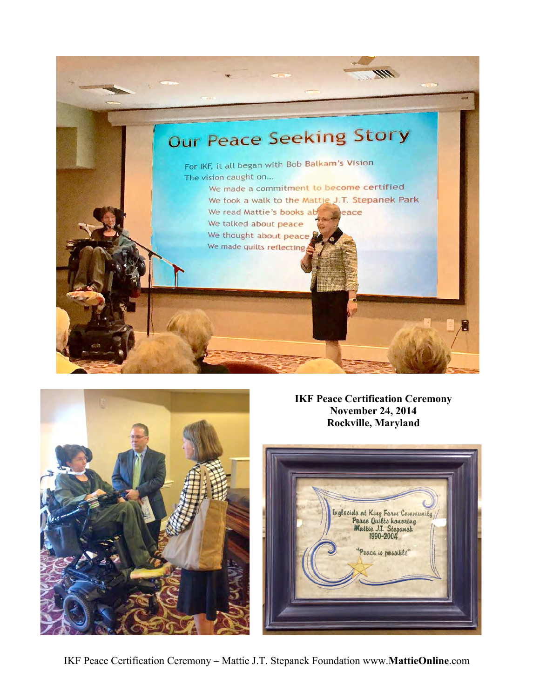



**IKF Peace Certification Ceremony November 24, 2014 Rockville, Maryland**



IKF Peace Certification Ceremony – Mattie J.T. Stepanek Foundation www.**MattieOnline**.com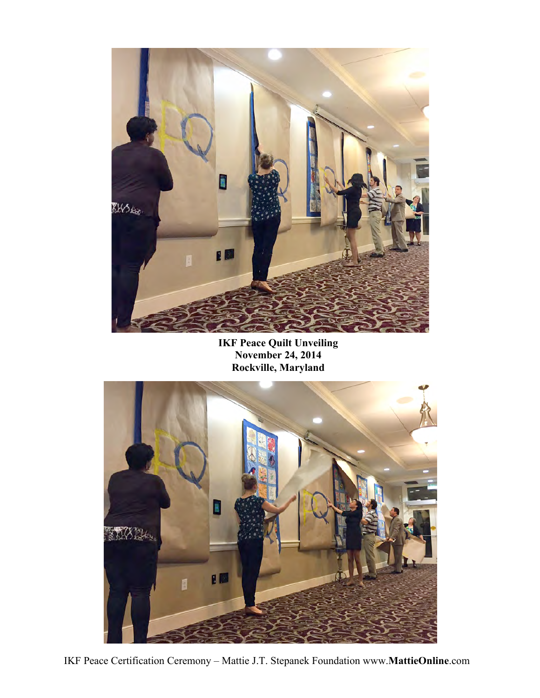

**IKF Peace Quilt Unveiling November 24, 2014 Rockville, Maryland**



IKF Peace Certification Ceremony – Mattie J.T. Stepanek Foundation www.**MattieOnline**.com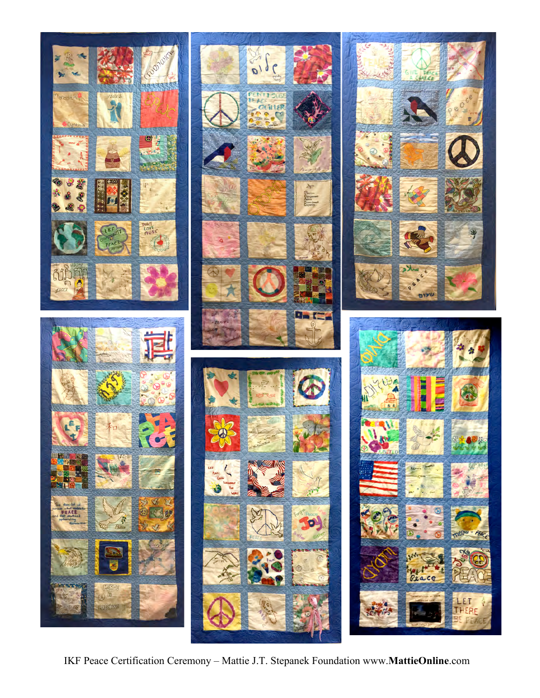

IKF Peace Certification Ceremony – Mattie J.T. Stepanek Foundation www.**MattieOnline**.com